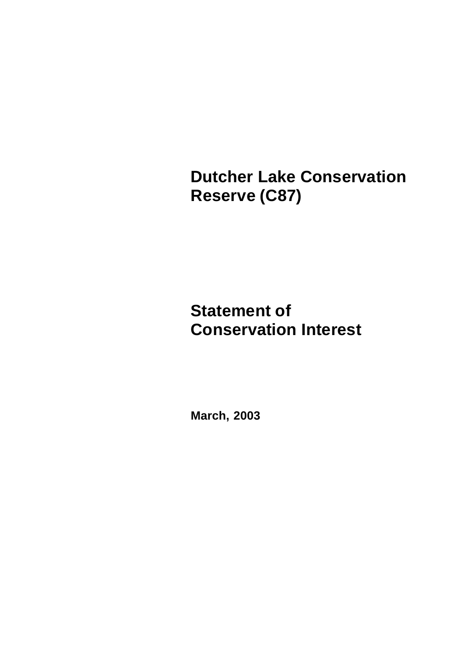**Dutcher Lake Conservation Reserve (C87)**

# **Statement of Conservation Interest**

**March, 2003**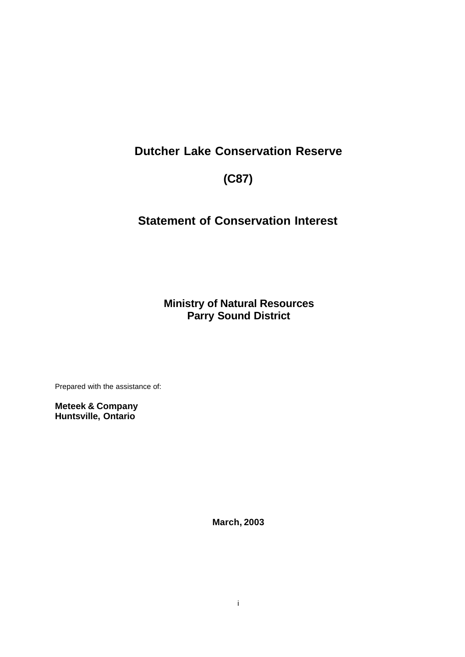# **Dutcher Lake Conservation Reserve**

# **(C87)**

# **Statement of Conservation Interest**

**Ministry of Natural Resources Parry Sound District**

Prepared with the assistance of:

**Meteek & Company Huntsville, Ontario**

**March, 2003**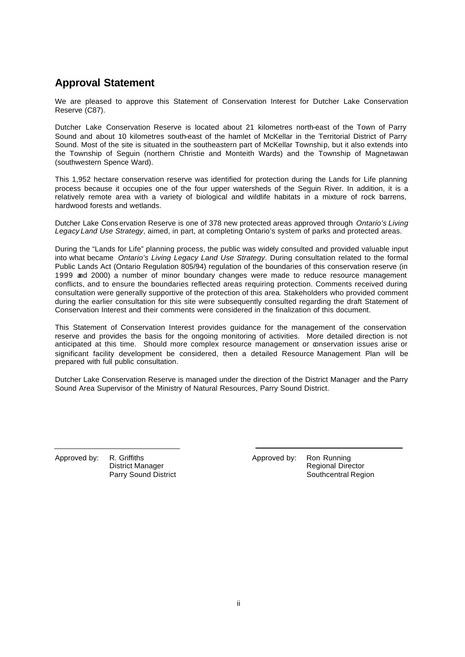## **Approval Statement**

We are pleased to approve this Statement of Conservation Interest for Dutcher Lake Conservation Reserve (C87).

Dutcher Lake Conservation Reserve is located about 21 kilometres north-east of the Town of Parry Sound and about 10 kilometres south-east of the hamlet of McKellar in the Territorial District of Parry Sound. Most of the site is situated in the southeastern part of McKellar Township, but it also extends into the Township of Seguin (northern Christie and Monteith Wards) and the Township of Magnetawan (southwestern Spence Ward).

This 1,952 hectare conservation reserve was identified for protection during the Lands for Life planning process because it occupies one of the four upper watersheds of the Seguin River. In addition, it is a relatively remote area with a variety of biological and wildlife habitats in a mixture of rock barrens, hardwood forests and wetlands.

Dutcher Lake Cons ervation Reserve is one of 378 new protected areas approved through *Ontario's Living Legacy Land Use Strategy*, aimed, in part, at completing Ontario's system of parks and protected areas.

During the "Lands for Life" planning process, the public was widely consulted and provided valuable input into what became *Ontario's Living Legacy Land Use Strategy*. During consultation related to the formal Public Lands Act (Ontario Regulation 805/94) regulation of the boundaries of this conservation reserve (in 1999 and 2000) a number of minor boundary changes were made to reduce resource management conflicts, and to ensure the boundaries reflected areas requiring protection. Comments received during consultation were generally supportive of the protection of this area. Stakeholders who provided comment during the earlier consultation for this site were subsequently consulted regarding the draft Statement of Conservation Interest and their comments were considered in the finalization of this document.

This Statement of Conservation Interest provides guidance for the management of the conservation reserve and provides the basis for the ongoing monitoring of activities. More detailed direction is not anticipated at this time. Should more complex resource management or conservation issues arise or significant facility development be considered, then a detailed Resource Management Plan will be prepared with full public consultation.

Dutcher Lake Conservation Reserve is managed under the direction of the District Manager and the Parry Sound Area Supervisor of the Ministry of Natural Resources, Parry Sound District.

Approved by: R. Griffiths District Manager Parry Sound District Approved by: Ron Running Regional Director Southcentral Region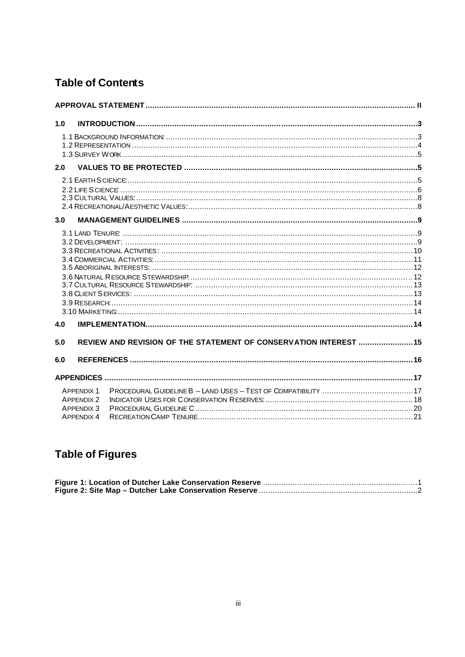## **Table of Contents**

| 1.0 |                                                                           |                                                                   |  |
|-----|---------------------------------------------------------------------------|-------------------------------------------------------------------|--|
|     |                                                                           |                                                                   |  |
| 2.0 |                                                                           |                                                                   |  |
|     |                                                                           |                                                                   |  |
| 3.0 |                                                                           |                                                                   |  |
| 4.0 |                                                                           |                                                                   |  |
| 5.0 |                                                                           | REVIEW AND REVISION OF THE STATEMENT OF CONSERVATION INTEREST  15 |  |
| 6.0 |                                                                           |                                                                   |  |
|     |                                                                           |                                                                   |  |
|     | <b>APPENDIX 1</b><br><b>APPENDIX 2</b><br>APPFNDIX 3<br><b>APPENDIX 4</b> |                                                                   |  |

# **Table of Figures**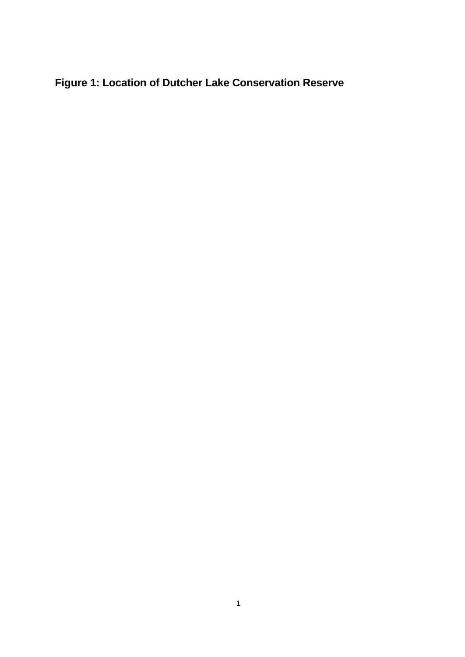# **Figure 1: Location of Dutcher Lake Conservation Reserve**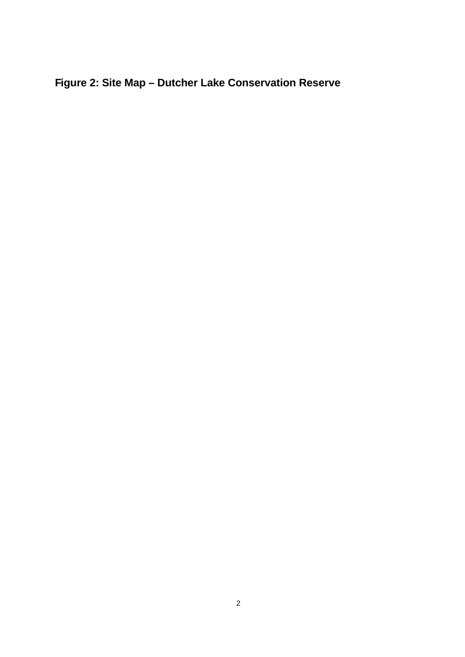# **Figure 2: Site Map – Dutcher Lake Conservation Reserve**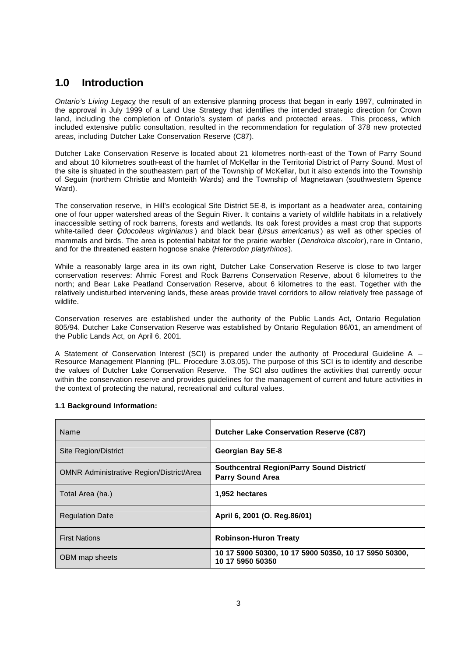## **1.0 Introduction**

*Ontario's Living Legacy*, the result of an extensive planning process that began in early 1997, culminated in the approval in July 1999 of a Land Use Strategy that identifies the int ended strategic direction for Crown land, including the completion of Ontario's system of parks and protected areas. This process, which included extensive public consultation, resulted in the recommendation for regulation of 378 new protected areas, including Dutcher Lake Conservation Reserve (C87).

Dutcher Lake Conservation Reserve is located about 21 kilometres north-east of the Town of Parry Sound and about 10 kilometres south-east of the hamlet of McKellar in the Territorial District of Parry Sound. Most of the site is situated in the southeastern part of the Township of McKellar, but it also extends into the Township of Seguin (northern Christie and Monteith Wards) and the Township of Magnetawan (southwestern Spence Ward).

The conservation reserve, in Hill's ecological Site District 5E-8, is important as a headwater area, containing one of four upper watershed areas of the Seguin River. It contains a variety of wildlife habitats in a relatively inaccessible setting of rock barrens, forests and wetlands. Its oak forest provides a mast crop that supports white-tailed deer (*Odocoileus virginianus* ) and black bear (*Ursus americanus* ) as well as other species of mammals and birds. The area is potential habitat for the prairie warbler (*Dendroica discolor*), rare in Ontario, and for the threatened eastern hognose snake (*Heterodon platyrhinos*).

While a reasonably large area in its own right, Dutcher Lake Conservation Reserve is close to two larger conservation reserves: Ahmic Forest and Rock Barrens Conservation Reserve, about 6 kilometres to the north; and Bear Lake Peatland Conservation Reserve, about 6 kilometres to the east. Together with the relatively undisturbed intervening lands, these areas provide travel corridors to allow relatively free passage of wildlife.

Conservation reserves are established under the authority of the Public Lands Act, Ontario Regulation 805/94. Dutcher Lake Conservation Reserve was established by Ontario Regulation 86/01, an amendment of the Public Lands Act, on April 6, 2001.

A Statement of Conservation Interest (SCI) is prepared under the authority of Procedural Guideline A – Resource Management Planning (PL. Procedure 3.03.05)**.** The purpose of this SCI is to identify and describe the values of Dutcher Lake Conservation Reserve. The SCI also outlines the activities that currently occur within the conservation reserve and provides guidelines for the management of current and future activities in the context of protecting the natural, recreational and cultural values.

| Name                                            | <b>Dutcher Lake Conservation Reserve (C87)</b>                            |  |  |
|-------------------------------------------------|---------------------------------------------------------------------------|--|--|
| Site Region/District                            | Georgian Bay 5E-8                                                         |  |  |
| <b>OMNR Administrative Region/District/Area</b> | Southcentral Region/Parry Sound District/<br><b>Parry Sound Area</b>      |  |  |
| Total Area (ha.)                                | 1,952 hectares                                                            |  |  |
| <b>Regulation Date</b>                          | April 6, 2001 (O. Reg.86/01)                                              |  |  |
| <b>First Nations</b>                            | <b>Robinson-Huron Treaty</b>                                              |  |  |
| OBM map sheets                                  | 10 17 5900 50300, 10 17 5900 50350, 10 17 5950 50300,<br>10 17 5950 50350 |  |  |

#### **1.1 Background Information:**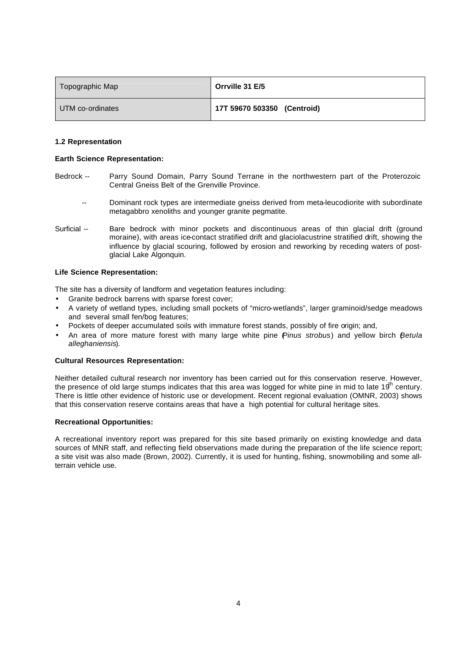| Topographic Map  | Orrville 31 E/5             |
|------------------|-----------------------------|
| UTM co-ordinates | 17T 59670 503350 (Centroid) |

#### **1.2 Representation**

#### **Earth Science Representation:**

- Bedrock -- Parry Sound Domain, Parry Sound Terrane in the northwestern part of the Proterozoic Central Gneiss Belt of the Grenville Province.
	- -- Dominant rock types are intermediate gneiss derived from meta-leucodiorite with subordinate metagabbro xenoliths and younger granite pegmatite.
- Surficial -- Bare bedrock with minor pockets and discontinuous areas of thin glacial drift (ground moraine), with areas ice-contact stratified drift and glaciolacustrine stratified drift, showing the influence by glacial scouring, followed by erosion and reworking by receding waters of postglacial Lake Algonquin.

#### **Life Science Representation:**

The site has a diversity of landform and vegetation features including:

- Granite bedrock barrens with sparse forest cover;
- A variety of wetland types, including small pockets of "micro-wetlands", larger graminoid/sedge meadows and several small fen/bog features;
- Pockets of deeper accumulated soils with immature forest stands, possibly of fire origin; and,
- An area of more mature forest with many large white pine (*Pinus strobus*) and yellow birch (*Betula alleghaniensis*).

#### **Cultural Resources Representation:**

Neither detailed cultural research nor inventory has been carried out for this conservation reserve. However, the presence of old large stumps indicates that this area was logged for white pine in mid to late  $19<sup>n</sup>$  century. There is little other evidence of historic use or development. Recent regional evaluation (OMNR, 2003) shows that this conservation reserve contains areas that have a high potential for cultural heritage sites.

#### **Recreational Opportunities:**

A recreational inventory report was prepared for this site based primarily on existing knowledge and data sources of MNR staff, and reflecting field observations made during the preparation of the life science report; a site visit was also made (Brown, 2002). Currently, it is used for hunting, fishing, snowmobiling and some allterrain vehicle use.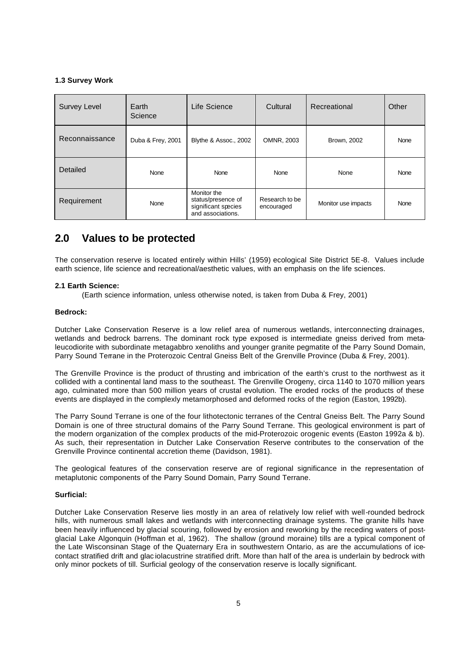#### **1.3 Survey Work**

| <b>Survey Level</b> | Earth<br>Science  | Life Science                                                                  | Cultural                     | Recreational        | Other |
|---------------------|-------------------|-------------------------------------------------------------------------------|------------------------------|---------------------|-------|
| Reconnaissance      | Duba & Frey, 2001 | Blythe & Assoc., 2002                                                         | OMNR, 2003                   | Brown, 2002         | None  |
| Detailed            | None              | None                                                                          | None                         | None                | None  |
| Requirement         | None              | Monitor the<br>status/presence of<br>significant species<br>and associations. | Research to be<br>encouraged | Monitor use impacts | None  |

### **2.0 Values to be protected**

The conservation reserve is located entirely within Hills' (1959) ecological Site District 5E-8. Values include earth science, life science and recreational/aesthetic values, with an emphasis on the life sciences.

#### **2.1 Earth Science:**

(Earth science information, unless otherwise noted, is taken from Duba & Frey, 2001)

#### **Bedrock:**

Dutcher Lake Conservation Reserve is a low relief area of numerous wetlands, interconnecting drainages, wetlands and bedrock barrens. The dominant rock type exposed is intermediate gneiss derived from metaleucodiorite with subordinate metagabbro xenoliths and younger granite pegmatite of the Parry Sound Domain, Parry Sound Terrane in the Proterozoic Central Gneiss Belt of the Grenville Province (Duba & Frey, 2001).

The Grenville Province is the product of thrusting and imbrication of the earth's crust to the northwest as it collided with a continental land mass to the southeast. The Grenville Orogeny, circa 1140 to 1070 million years ago, culminated more than 500 million years of crustal evolution. The eroded rocks of the products of these events are displayed in the complexly metamorphosed and deformed rocks of the region (Easton, 1992b).

The Parry Sound Terrane is one of the four lithotectonic terranes of the Central Gneiss Belt. The Parry Sound Domain is one of three structural domains of the Parry Sound Terrane. This geological environment is part of the modern organization of the complex products of the mid-Proterozoic orogenic events (Easton 1992a & b). As such, their representation in Dutcher Lake Conservation Reserve contributes to the conservation of the Grenville Province continental accretion theme (Davidson, 1981).

The geological features of the conservation reserve are of regional significance in the representation of metaplutonic components of the Parry Sound Domain, Parry Sound Terrane.

#### **Surficial:**

Dutcher Lake Conservation Reserve lies mostly in an area of relatively low relief with well-rounded bedrock hills, with numerous small lakes and wetlands with interconnecting drainage systems. The granite hills have been heavily influenced by glacial scouring, followed by erosion and reworking by the receding waters of postglacial Lake Algonquin (Hoffman et al, 1962). The shallow (ground moraine) tills are a typical component of the Late Wisconsinan Stage of the Quaternary Era in southwestern Ontario, as are the accumulations of icecontact stratified drift and glac iolacustrine stratified drift. More than half of the area is underlain by bedrock with only minor pockets of till. Surficial geology of the conservation reserve is locally significant.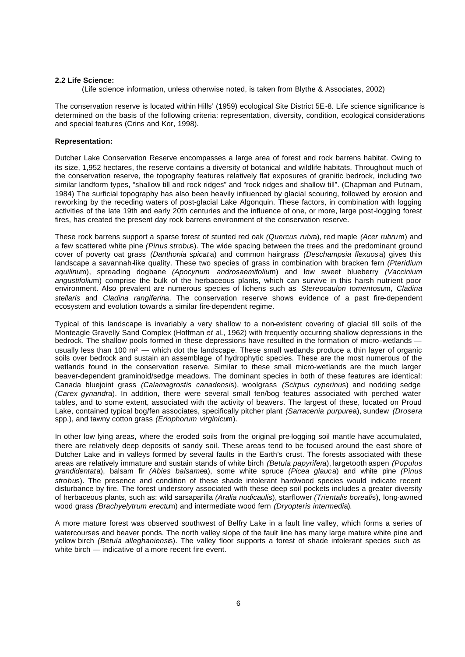#### **2.2 Life Science:**

(Life science information, unless otherwise noted, is taken from Blythe & Associates, 2002)

The conservation reserve is located within Hills' (1959) ecological Site District 5E-8. Life science significance is determined on the basis of the following criteria: representation, diversity, condition, ecological considerations and special features (Crins and Kor, 1998).

#### **Representation:**

Dutcher Lake Conservation Reserve encompasses a large area of forest and rock barrens habitat. Owing to its size, 1,952 hectares, the reserve contains a diversity of botanical and wildlife habitats. Throughout much of the conservation reserve, the topography features relatively flat exposures of granitic bedrock, including two similar landform types, "shallow till and rock ridges" and "rock ridges and shallow till". (Chapman and Putnam, 1984) The surficial topography has also been heavily influenced by glacial scouring, followed by erosion and reworking by the receding waters of post-glacial Lake Algonquin. These factors, in combination with logging activities of the late 19th and early 20th centuries and the influence of one, or more, large post-logging forest fires, has created the present day rock barrens environment of the conservation reserve.

These rock barrens support a sparse forest of stunted red oak *(Quercus rubr*a), red maple *(Acer rubru*m) and a few scattered white pine *(Pinus strobu*s). The wide spacing between the trees and the predominant ground cover of poverty oat grass *(Danthonia spicat* a) and common hairgrass *(Deschampsia flexuos*a) gives this landscape a savannah-like quality. These two species of grass in combination with bracken fern *(Pteridium aquilinu*m), spreading dogbane *(Apocynum androsaemifoliu*m) and low sweet blueberry *(Vaccinium angustifoliu*m) comprise the bulk of the herbaceous plants, which can survive in this harsh nutrient poor environment. Also prevalent are numerous species of lichens such as *Stereocaulon tomentosu*m, *Cladina stellaris* and *Cladina rangiferin*a. The conservation reserve shows evidence of a past fire-dependent ecosystem and evolution towards a similar fire-dependent regime.

Typical of this landscape is invariably a very shallow to a non-existent covering of glacial till soils of the Monteagle Gravelly Sand Complex (Hoffman *et a*l., 1962) with frequently occurring shallow depressions in the bedrock. The shallow pools formed in these depressions have resulted in the formation of micro-wetlands usually less than 100 m<sup>2</sup> — which dot the landscape. These small wetlands produce a thin layer of organic soils over bedrock and sustain an assemblage of hydrophytic species. These are the most numerous of the wetlands found in the conservation reserve. Similar to these small micro-wetlands are the much larger beaver-dependent graminoid/sedge meadows. The dominant species in both of these features are identical: Canada bluejoint grass *(Calamagrostis canadensi*s), woolgrass *(Scirpus cyperinu*s) and nodding sedge *(Carex gynandr*a). In addition, there were several small fen/bog features associated with perched water tables, and to some extent, associated with the activity of beavers. The largest of these, located on Proud Lake, contained typical bog/fen associates, specifically pitcher plant *(Sarracenia purpure*a), sundew *(Drosera*  spp.), and tawny cotton grass *(Eriophorum virginicu*m).

In other low lying areas, where the eroded soils from the original pre-logging soil mantle have accumulated, there are relatively deep deposits of sandy soil. These areas tend to be focused around the east shore of Dutcher Lake and in valleys formed by several faults in the Earth's crust. The forests associated with these areas are relatively immature and sustain stands of white birch *(Betula papyrifer*a), largetooth aspen *(Populus grandidentat*a), balsam fir *(Abies balsame*a), some white spruce *(Picea glauc*a) and white pine *(Pinus strobu*s). The presence and condition of these shade intolerant hardwood species would indicate recent disturbance by fire. The forest understory associated with these deep soil pockets includes a greater diversity of herbaceous plants, such as: wild sarsaparilla *(Aralia nudicauli*s), starflower *(Trientalis boreali*s), long-awned wood grass *(Brachyelytrum erectu*m) and intermediate wood fern *(Dryopteris intermedi*a).

A more mature forest was observed southwest of Belfry Lake in a fault line valley, which forms a series of watercourses and beaver ponds. The north valley slope of the fault line has many large mature white pine and yellow birch *(Betula alleghaniensi*s). The valley floor supports a forest of shade intolerant species such as white birch — indicative of a more recent fire event.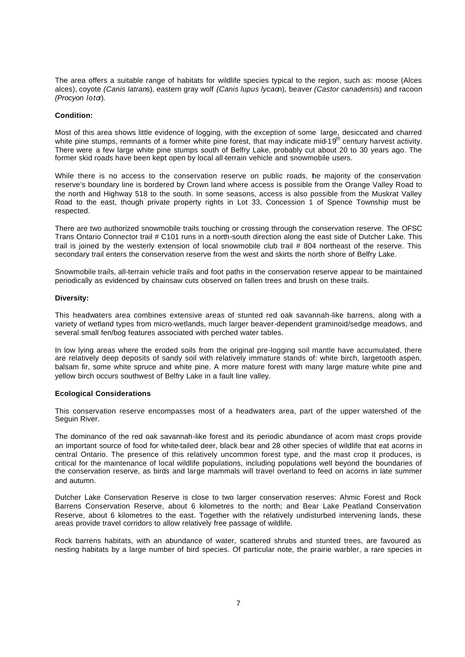The area offers a suitable range of habitats for wildlife species typical to the region, such as: moose (Alces alces), coyote *(Canis latran*s), eastern gray wolf *(Canis lupus lycao*n), beaver *(Castor canadensi*s) and racoon *(Procyon lota).* 

#### **Condition:**

Most of this area shows little evidence of logging, with the exception of some large, desiccated and charred white pine stumps, remnants of a former white pine forest, that may indicate mid-19<sup>th</sup> century harvest activity. There were a few large white pine stumps south of Belfry Lake, probably cut about 20 to 30 years ago. The former skid roads have been kept open by local all-terrain vehicle and snowmobile users.

While there is no access to the conservation reserve on public roads, the majority of the conservation reserve's boundary line is bordered by Crown land where access is possible from the Orange Valley Road to the north and Highway 518 to the south. In some seasons, access is also possible from the Muskrat Valley Road to the east, though private property rights in Lot 33, Concession 1 of Spence Township must be respected.

There are two authorized snowmobile trails touching or crossing through the conservation reserve. The OFSC Trans Ontario Connector trail # C101 runs in a north-south direction along the east side of Dutcher Lake. This trail is joined by the westerly extension of local snowmobile club trail # 804 northeast of the reserve. This secondary trail enters the conservation reserve from the west and skirts the north shore of Belfry Lake.

Snowmobile trails, all-terrain vehicle trails and foot paths in the conservation reserve appear to be maintained periodically as evidenced by chainsaw cuts observed on fallen trees and brush on these trails.

#### **Diversity:**

This headwaters area combines extensive areas of stunted red oak savannah-like barrens, along with a variety of wetland types from micro-wetlands, much larger beaver-dependent graminoid/sedge meadows, and several small fen/bog features associated with perched water tables.

In low lying areas where the eroded soils from the original pre-logging soil mantle have accumulated, there are relatively deep deposits of sandy soil with relatively immature stands of: white birch, largetooth aspen, balsam fir, some white spruce and white pine. A more mature forest with many large mature white pine and yellow birch occurs southwest of Belfry Lake in a fault line valley.

#### **Ecological Considerations**

This conservation reserve encompasses most of a headwaters area, part of the upper watershed of the Seguin River.

The dominance of the red oak savannah-like forest and its periodic abundance of acorn mast crops provide an important source of food for white-tailed deer, black bear and 28 other species of wildlife that eat acorns in central Ontario. The presence of this relatively uncommon forest type, and the mast crop it produces, is critical for the maintenance of local wildlife populations, including populations well beyond the boundaries of the conservation reserve, as birds and large mammals will travel overland to feed on acorns in late summer and autumn.

Dutcher Lake Conservation Reserve is close to two larger conservation reserves: Ahmic Forest and Rock Barrens Conservation Reserve, about 6 kilometres to the north; and Bear Lake Peatland Conservation Reserve, about 6 kilometres to the east. Together with the relatively undisturbed intervening lands, these areas provide travel corridors to allow relatively free passage of wildlife.

Rock barrens habitats, with an abundance of water, scattered shrubs and stunted trees, are favoured as nesting habitats by a large number of bird species. Of particular note, the prairie warbler, a rare species in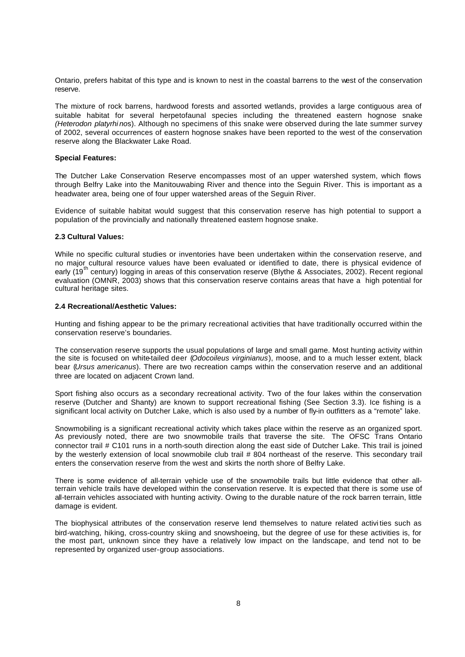Ontario, prefers habitat of this type and is known to nest in the coastal barrens to the west of the conservation reserve.

The mixture of rock barrens, hardwood forests and assorted wetlands, provides a large contiguous area of suitable habitat for several herpetofaunal species including the threatened eastern hognose snake *(Heterodon platyrhi no*s). Although no specimens of this snake were observed during the late summer survey of 2002, several occurrences of eastern hognose snakes have been reported to the west of the conservation reserve along the Blackwater Lake Road.

#### **Special Features:**

The Dutcher Lake Conservation Reserve encompasses most of an upper watershed system, which flows through Belfry Lake into the Manitouwabing River and thence into the Seguin River. This is important as a headwater area, being one of four upper watershed areas of the Seguin River.

Evidence of suitable habitat would suggest that this conservation reserve has high potential to support a population of the provincially and nationally threatened eastern hognose snake.

#### **2.3 Cultural Values:**

While no specific cultural studies or inventories have been undertaken within the conservation reserve, and no major cultural resource values have been evaluated or identified to date, there is physical evidence of early (19<sup>th</sup> century) logging in areas of this conservation reserve (Blythe & Associates, 2002). Recent regional evaluation (OMNR, 2003) shows that this conservation reserve contains areas that have a high potential for cultural heritage sites.

#### **2.4 Recreational/Aesthetic Values:**

Hunting and fishing appear to be the primary recreational activities that have traditionally occurred within the conservation reserve's boundaries.

The conservation reserve supports the usual populations of large and small game. Most hunting activity within the site is focused on white-tailed deer (*Odocoileus virginianus*), moose, and to a much lesser extent, black bear (*Ursus americanus*). There are two recreation camps within the conservation reserve and an additional three are located on adjacent Crown land.

Sport fishing also occurs as a secondary recreational activity. Two of the four lakes within the conservation reserve (Dutcher and Shanty) are known to support recreational fishing (See Section 3.3). Ice fishing is a significant local activity on Dutcher Lake, which is also used by a number of fly-in outfitters as a "remote" lake.

Snowmobiling is a significant recreational activity which takes place within the reserve as an organized sport. As previously noted, there are two snowmobile trails that traverse the site. The OFSC Trans Ontario connector trail # C101 runs in a north-south direction along the east side of Dutcher Lake. This trail is joined by the westerly extension of local snowmobile club trail # 804 northeast of the reserve. This secondary trail enters the conservation reserve from the west and skirts the north shore of Belfry Lake.

There is some evidence of all-terrain vehicle use of the snowmobile trails but little evidence that other allterrain vehicle trails have developed within the conservation reserve. It is expected that there is some use of all-terrain vehicles associated with hunting activity. Owing to the durable nature of the rock barren terrain, little damage is evident.

The biophysical attributes of the conservation reserve lend themselves to nature related activi ties such as bird-watching, hiking, cross-country skiing and snowshoeing, but the degree of use for these activities is, for the most part, unknown since they have a relatively low impact on the landscape, and tend not to be represented by organized user-group associations.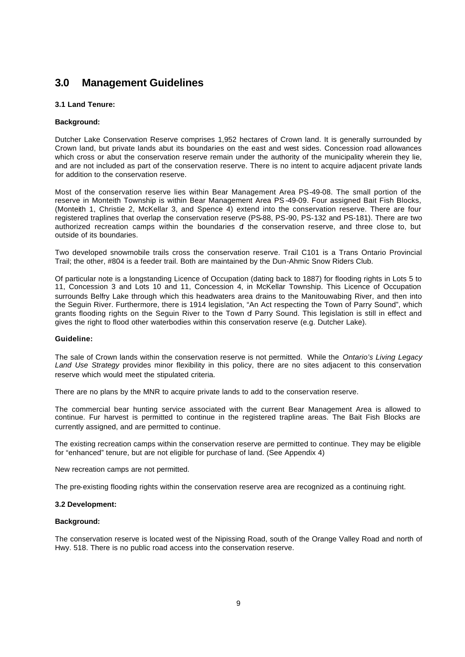## **3.0 Management Guidelines**

#### **3.1 Land Tenure:**

#### **Background:**

Dutcher Lake Conservation Reserve comprises 1,952 hectares of Crown land. It is generally surrounded by Crown land, but private lands abut its boundaries on the east and west sides. Concession road allowances which cross or abut the conservation reserve remain under the authority of the municipality wherein they lie, and are not included as part of the conservation reserve. There is no intent to acquire adjacent private lands for addition to the conservation reserve.

Most of the conservation reserve lies within Bear Management Area PS-49-08. The small portion of the reserve in Monteith Township is within Bear Management Area PS -49-09. Four assigned Bait Fish Blocks, (Monteith 1, Christie 2, McKellar 3, and Spence 4) extend into the conservation reserve. There are four registered traplines that overlap the conservation reserve (PS-88, PS-90, PS-132 and PS-181). There are two authorized recreation camps within the boundaries of the conservation reserve, and three close to, but outside of its boundaries.

Two developed snowmobile trails cross the conservation reserve. Trail C101 is a Trans Ontario Provincial Trail; the other, #804 is a feeder trail. Both are maintained by the Dun-Ahmic Snow Riders Club.

Of particular note is a longstanding Licence of Occupation (dating back to 1887) for flooding rights in Lots 5 to 11, Concession 3 and Lots 10 and 11, Concession 4, in McKellar Township. This Licence of Occupation surrounds Belfry Lake through which this headwaters area drains to the Manitouwabing River, and then into the Seguin River. Furthermore, there is 1914 legislation, "An Act respecting the Town of Parry Sound", which grants flooding rights on the Seguin River to the Town of Parry Sound. This legislation is still in effect and gives the right to flood other waterbodies within this conservation reserve (e.g. Dutcher Lake).

#### **Guideline:**

The sale of Crown lands within the conservation reserve is not permitted. While the *Ontario's Living Legacy Land Use Strategy* provides minor flexibility in this policy, there are no sites adjacent to this conservation reserve which would meet the stipulated criteria.

There are no plans by the MNR to acquire private lands to add to the conservation reserve.

The commercial bear hunting service associated with the current Bear Management Area is allowed to continue. Fur harvest is permitted to continue in the registered trapline areas. The Bait Fish Blocks are currently assigned, and are permitted to continue.

The existing recreation camps within the conservation reserve are permitted to continue. They may be eligible for "enhanced" tenure, but are not eligible for purchase of land. (See Appendix 4)

New recreation camps are not permitted.

The pre-existing flooding rights within the conservation reserve area are recognized as a continuing right.

#### **3.2 Development:**

#### **Background:**

The conservation reserve is located west of the Nipissing Road, south of the Orange Valley Road and north of Hwy. 518. There is no public road access into the conservation reserve.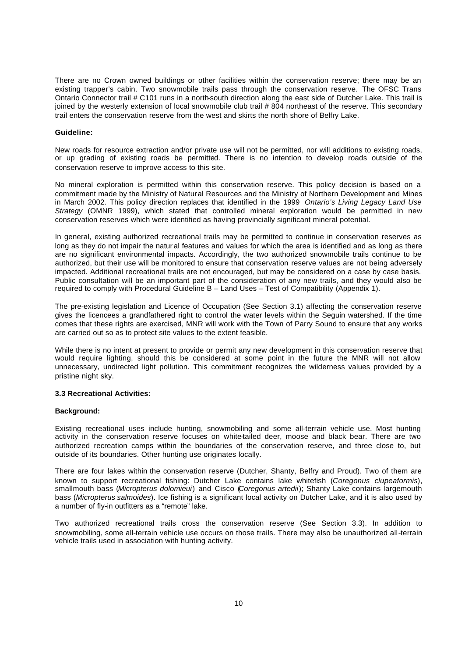There are no Crown owned buildings or other facilities within the conservation reserve; there may be an existing trapper's cabin. Two snowmobile trails pass through the conservation reserve. The OFSC Trans Ontario Connector trail # C101 runs in a north-south direction along the east side of Dutcher Lake. This trail is joined by the westerly extension of local snowmobile club trail # 804 northeast of the reserve. This secondary trail enters the conservation reserve from the west and skirts the north shore of Belfry Lake.

#### **Guideline:**

New roads for resource extraction and/or private use will not be permitted, nor will additions to existing roads, or up grading of existing roads be permitted. There is no intention to develop roads outside of the conservation reserve to improve access to this site.

No mineral exploration is permitted within this conservation reserve. This policy decision is based on a commitment made by the Ministry of Natural Resources and the Ministry of Northern Development and Mines in March 2002. This policy direction replaces that identified in the 1999 *Ontario's Living Legacy Land Use Strategy* (OMNR 1999), which stated that controlled mineral exploration would be permitted in new conservation reserves which were identified as having provincially significant mineral potential.

In general, existing authorized recreational trails may be permitted to continue in conservation reserves as long as they do not impair the natur al features and values for which the area is identified and as long as there are no significant environmental impacts. Accordingly, the two authorized snowmobile trails continue to be authorized, but their use will be monitored to ensure that conservation reserve values are not being adversely impacted. Additional recreational trails are not encouraged, but may be considered on a case by case basis. Public consultation will be an important part of the consideration of any new trails, and they would also be required to comply with Procedural Guideline B – Land Uses – Test of Compatibility (Appendix 1).

The pre-existing legislation and Licence of Occupation (See Section 3.1) affecting the conservation reserve gives the licencees a grandfathered right to control the water levels within the Seguin watershed. If the time comes that these rights are exercised, MNR will work with the Town of Parry Sound to ensure that any works are carried out so as to protect site values to the extent feasible.

While there is no intent at present to provide or permit any new development in this conservation reserve that would require lighting, should this be considered at some point in the future the MNR will not allow unnecessary, undirected light pollution. This commitment recognizes the wilderness values provided by a pristine night sky.

#### **3.3 Recreational Activities:**

#### **Background:**

Existing recreational uses include hunting, snowmobiling and some all-terrain vehicle use. Most hunting activity in the conservation reserve focuses on white-tailed deer, moose and black bear. There are two authorized recreation camps within the boundaries of the conservation reserve, and three close to, but outside of its boundaries. Other hunting use originates locally.

There are four lakes within the conservation reserve (Dutcher, Shanty, Belfry and Proud). Two of them are known to support recreational fishing: Dutcher Lake contains lake whitefish (*Coregonus clupeaformis*), smallmouth bass (*Micropterus dolomieui*) and Cisco (*Coregonus artedii*); Shanty Lake contains largemouth bass (*Micropterus salmoides*). Ice fishing is a significant local activity on Dutcher Lake, and it is also used by a number of fly-in outfitters as a "remote" lake.

Two authorized recreational trails cross the conservation reserve (See Section 3.3). In addition to snowmobiling, some all-terrain vehicle use occurs on those trails. There may also be unauthorized all-terrain vehicle trails used in association with hunting activity.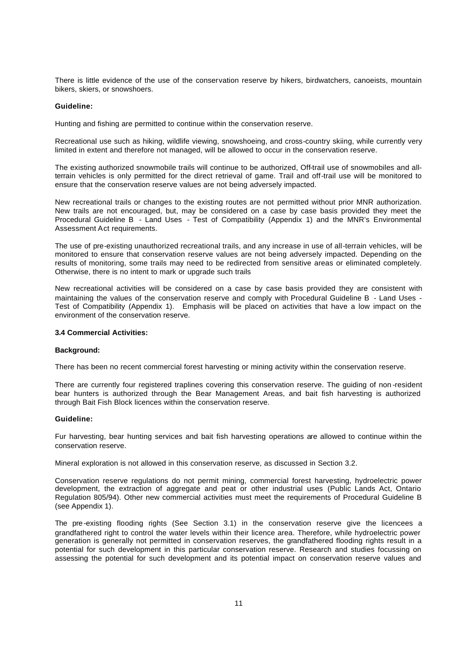There is little evidence of the use of the conservation reserve by hikers, birdwatchers, canoeists, mountain bikers, skiers, or snowshoers.

#### **Guideline:**

Hunting and fishing are permitted to continue within the conservation reserve.

Recreational use such as hiking, wildlife viewing, snowshoeing, and cross-country skiing, while currently very limited in extent and therefore not managed, will be allowed to occur in the conservation reserve.

The existing authorized snowmobile trails will continue to be authorized, Off-trail use of snowmobiles and allterrain vehicles is only permitted for the direct retrieval of game. Trail and off-trail use will be monitored to ensure that the conservation reserve values are not being adversely impacted.

New recreational trails or changes to the existing routes are not permitted without prior MNR authorization. New trails are not encouraged, but, may be considered on a case by case basis provided they meet the Procedural Guideline B - Land Uses - Test of Compatibility (Appendix 1) and the MNR's Environmental Assessment Act requirements.

The use of pre-existing unauthorized recreational trails, and any increase in use of all-terrain vehicles, will be monitored to ensure that conservation reserve values are not being adversely impacted. Depending on the results of monitoring, some trails may need to be redirected from sensitive areas or eliminated completely. Otherwise, there is no intent to mark or upgrade such trails

New recreational activities will be considered on a case by case basis provided they are consistent with maintaining the values of the conservation reserve and comply with Procedural Guideline B - Land Uses - Test of Compatibility (Appendix 1). Emphasis will be placed on activities that have a low impact on the environment of the conservation reserve.

#### **3.4 Commercial Activities:**

#### **Background:**

There has been no recent commercial forest harvesting or mining activity within the conservation reserve.

There are currently four registered traplines covering this conservation reserve. The guiding of non -resident bear hunters is authorized through the Bear Management Areas, and bait fish harvesting is authorized through Bait Fish Block licences within the conservation reserve.

#### **Guideline:**

Fur harvesting, bear hunting services and bait fish harvesting operations are allowed to continue within the conservation reserve.

Mineral exploration is not allowed in this conservation reserve, as discussed in Section 3.2.

Conservation reserve regulations do not permit mining, commercial forest harvesting, hydroelectric power development, the extraction of aggregate and peat or other industrial uses (Public Lands Act, Ontario Regulation 805/94). Other new commercial activities must meet the requirements of Procedural Guideline B (see Appendix 1).

The pre-existing flooding rights (See Section 3.1) in the conservation reserve give the licencees a grandfathered right to control the water levels within their licence area. Therefore, while hydroelectric power generation is generally not permitted in conservation reserves, the grandfathered flooding rights result in a potential for such development in this particular conservation reserve. Research and studies focussing on assessing the potential for such development and its potential impact on conservation reserve values and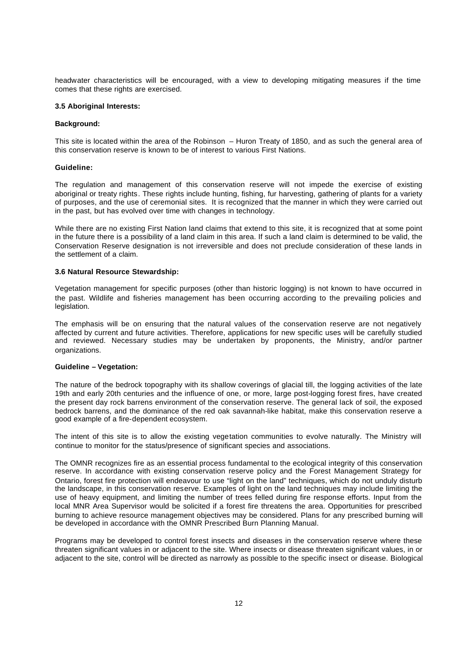headwater characteristics will be encouraged, with a view to developing mitigating measures if the time comes that these rights are exercised.

#### **3.5 Aboriginal Interests:**

#### **Background:**

This site is located within the area of the Robinson – Huron Treaty of 1850, and as such the general area of this conservation reserve is known to be of interest to various First Nations.

#### **Guideline:**

The regulation and management of this conservation reserve will not impede the exercise of existing aboriginal or treaty rights. These rights include hunting, fishing, fur harvesting, gathering of plants for a variety of purposes, and the use of ceremonial sites. It is recognized that the manner in which they were carried out in the past, but has evolved over time with changes in technology.

While there are no existing First Nation land claims that extend to this site, it is recognized that at some point in the future there is a possibility of a land claim in this area. If such a land claim is determined to be valid, the Conservation Reserve designation is not irreversible and does not preclude consideration of these lands in the settlement of a claim.

#### **3.6 Natural Resource Stewardship:**

Vegetation management for specific purposes (other than historic logging) is not known to have occurred in the past. Wildlife and fisheries management has been occurring according to the prevailing policies and legislation.

The emphasis will be on ensuring that the natural values of the conservation reserve are not negatively affected by current and future activities. Therefore, applications for new specific uses will be carefully studied and reviewed. Necessary studies may be undertaken by proponents, the Ministry, and/or partner organizations.

#### **Guideline – Vegetation:**

The nature of the bedrock topography with its shallow coverings of glacial till, the logging activities of the late 19th and early 20th centuries and the influence of one, or more, large post-logging forest fires, have created the present day rock barrens environment of the conservation reserve. The general lack of soil, the exposed bedrock barrens, and the dominance of the red oak savannah-like habitat, make this conservation reserve a good example of a fire-dependent ecosystem.

The intent of this site is to allow the existing vegetation communities to evolve naturally. The Ministry will continue to monitor for the status/presence of significant species and associations.

The OMNR recognizes fire as an essential process fundamental to the ecological integrity of this conservation reserve. In accordance with existing conservation reserve policy and the Forest Management Strategy for Ontario, forest fire protection will endeavour to use "light on the land" techniques, which do not unduly disturb the landscape, in this conservation reserve. Examples of light on the land techniques may include limiting the use of heavy equipment, and limiting the number of trees felled during fire response efforts. Input from the local MNR Area Supervisor would be solicited if a forest fire threatens the area. Opportunities for prescribed burning to achieve resource management objectives may be considered. Plans for any prescribed burning will be developed in accordance with the OMNR Prescribed Burn Planning Manual.

Programs may be developed to control forest insects and diseases in the conservation reserve where these threaten significant values in or adjacent to the site. Where insects or disease threaten significant values, in or adjacent to the site, control will be directed as narrowly as possible to the specific insect or disease. Biological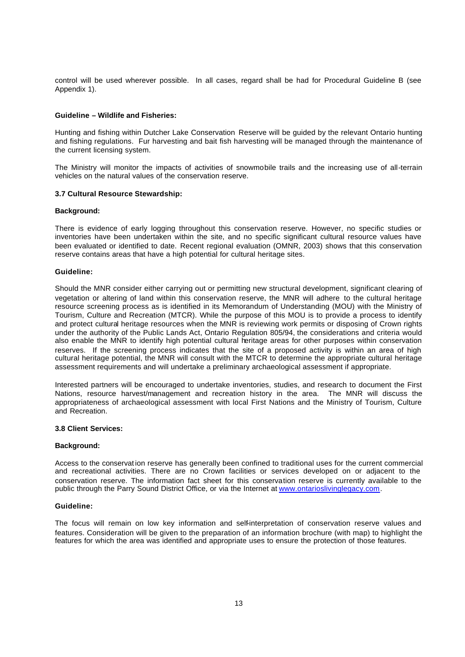control will be used wherever possible. In all cases, regard shall be had for Procedural Guideline B (see Appendix 1).

#### **Guideline – Wildlife and Fisheries:**

Hunting and fishing within Dutcher Lake Conservation Reserve will be guided by the relevant Ontario hunting and fishing regulations. Fur harvesting and bait fish harvesting will be managed through the maintenance of the current licensing system.

The Ministry will monitor the impacts of activities of snowmobile trails and the increasing use of all-terrain vehicles on the natural values of the conservation reserve.

#### **3.7 Cultural Resource Stewardship:**

#### **Background:**

There is evidence of early logging throughout this conservation reserve. However, no specific studies or inventories have been undertaken within the site, and no specific significant cultural resource values have been evaluated or identified to date. Recent regional evaluation (OMNR, 2003) shows that this conservation reserve contains areas that have a high potential for cultural heritage sites.

#### **Guideline:**

Should the MNR consider either carrying out or permitting new structural development, significant clearing of vegetation or altering of land within this conservation reserve, the MNR will adhere to the cultural heritage resource screening process as is identified in its Memorandum of Understanding (MOU) with the Ministry of Tourism, Culture and Recreation (MTCR). While the purpose of this MOU is to provide a process to identify and protect cultural heritage resources when the MNR is reviewing work permits or disposing of Crown rights under the authority of the Public Lands Act, Ontario Regulation 805/94, the considerations and criteria would also enable the MNR to identify high potential cultural heritage areas for other purposes within conservation reserves. If the screening process indicates that the site of a proposed activity is within an area of high cultural heritage potential, the MNR will consult with the MTCR to determine the appropriate cultural heritage assessment requirements and will undertake a preliminary archaeological assessment if appropriate.

Interested partners will be encouraged to undertake inventories, studies, and research to document the First Nations, resource harvest/management and recreation history in the area. The MNR will discuss the appropriateness of archaeological assessment with local First Nations and the Ministry of Tourism, Culture and Recreation.

#### **3.8 Client Services:**

#### **Background:**

Access to the conservat ion reserve has generally been confined to traditional uses for the current commercial and recreational activities. There are no Crown facilities or services developed on or adjacent to the conservation reserve. The information fact sheet for this conservation reserve is currently available to the public through the Parry Sound District Office, or via the Internet at www.ontarioslivinglegacy.com.

#### **Guideline:**

The focus will remain on low key information and self-interpretation of conservation reserve values and features. Consideration will be given to the preparation of an information brochure (with map) to highlight the features for which the area was identified and appropriate uses to ensure the protection of those features.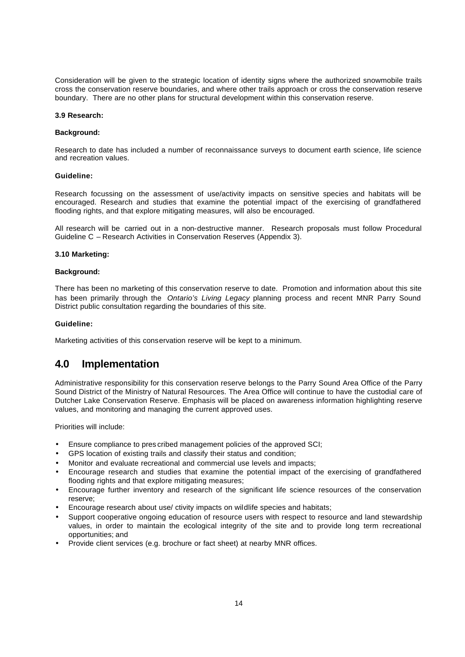Consideration will be given to the strategic location of identity signs where the authorized snowmobile trails cross the conservation reserve boundaries, and where other trails approach or cross the conservation reserve boundary. There are no other plans for structural development within this conservation reserve.

#### **3.9 Research:**

#### **Background:**

Research to date has included a number of reconnaissance surveys to document earth science, life science and recreation values.

#### **Guideline:**

Research focussing on the assessment of use/activity impacts on sensitive species and habitats will be encouraged. Research and studies that examine the potential impact of the exercising of grandfathered flooding rights, and that explore mitigating measures, will also be encouraged.

All research will be carried out in a non-destructive manner. Research proposals must follow Procedural Guideline C – Research Activities in Conservation Reserves (Appendix 3).

#### **3.10 Marketing:**

#### **Background:**

There has been no marketing of this conservation reserve to date. Promotion and information about this site has been primarily through the *Ontario's Living Legacy* planning process and recent MNR Parry Sound District public consultation regarding the boundaries of this site.

#### **Guideline:**

Marketing activities of this conservation reserve will be kept to a minimum.

### **4.0 Implementation**

Administrative responsibility for this conservation reserve belongs to the Parry Sound Area Office of the Parry Sound District of the Ministry of Natural Resources. The Area Office will continue to have the custodial care of Dutcher Lake Conservation Reserve. Emphasis will be placed on awareness information highlighting reserve values, and monitoring and managing the current approved uses.

Priorities will include:

- Ensure compliance to pres cribed management policies of the approved SCI;
- GPS location of existing trails and classify their status and condition;
- Monitor and evaluate recreational and commercial use levels and impacts;
- Encourage research and studies that examine the potential impact of the exercising of grandfathered flooding rights and that explore mitigating measures;
- Encourage further inventory and research of the significant life science resources of the conservation reserve;
- Encourage research about use/ ctivity impacts on wildlife species and habitats;
- Support cooperative ongoing education of resource users with respect to resource and land stewardship values, in order to maintain the ecological integrity of the site and to provide long term recreational opportunities; and
- Provide client services (e.g. brochure or fact sheet) at nearby MNR offices.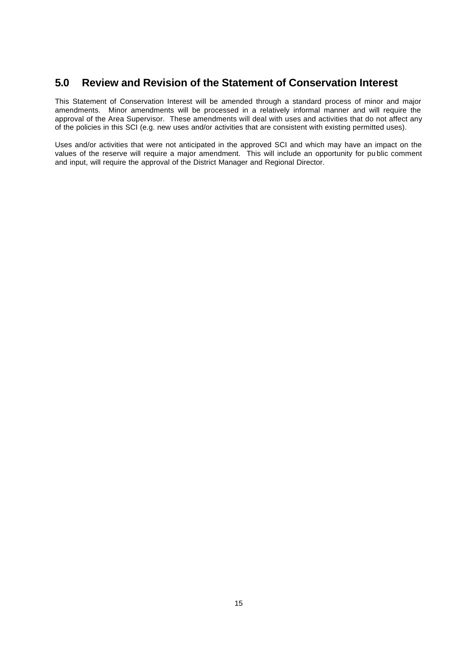### **5.0 Review and Revision of the Statement of Conservation Interest**

This Statement of Conservation Interest will be amended through a standard process of minor and major amendments. Minor amendments will be processed in a relatively informal manner and will require the approval of the Area Supervisor. These amendments will deal with uses and activities that do not affect any of the policies in this SCI (e.g. new uses and/or activities that are consistent with existing permitted uses).

Uses and/or activities that were not anticipated in the approved SCI and which may have an impact on the values of the reserve will require a major amendment. This will include an opportunity for pu blic comment and input, will require the approval of the District Manager and Regional Director.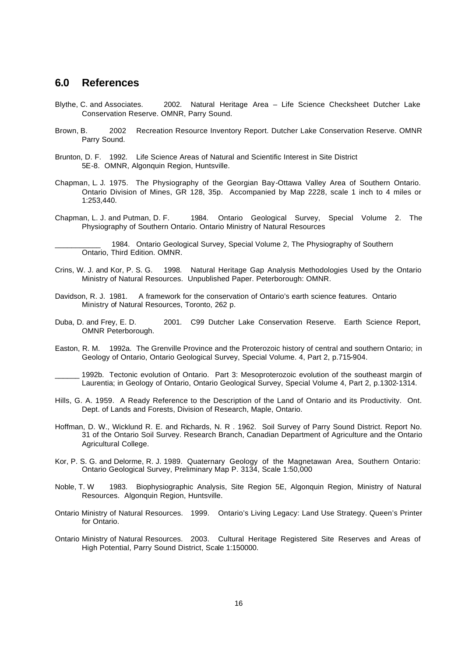### **6.0 References**

- Blythe, C. and Associates. 2002. Natural Heritage Area Life Science Checksheet Dutcher Lake Conservation Reserve. OMNR, Parry Sound.
- Brown, B. 2002 Recreation Resource Inventory Report. Dutcher Lake Conservation Reserve. OMNR Parry Sound.
- Brunton, D. F. 1992. Life Science Areas of Natural and Scientific Interest in Site District 5E-8. OMNR, Algonquin Region, Huntsville.
- Chapman, L. J. 1975. The Physiography of the Georgian Bay-Ottawa Valley Area of Southern Ontario. Ontario Division of Mines, GR 128, 35p. Accompanied by Map 2228, scale 1 inch to 4 miles or 1:253,440.
- Chapman, L. J. and Putman, D. F. 1984. Ontario Geological Survey, Special Volume 2. The Physiography of Southern Ontario. Ontario Ministry of Natural Resources

1984. Ontario Geological Survey, Special Volume 2, The Physiography of Southern Ontario, Third Edition. OMNR.

- Crins, W. J. and Kor, P. S. G. 1998. Natural Heritage Gap Analysis Methodologies Used by the Ontario Ministry of Natural Resources. Unpublished Paper. Peterborough: OMNR.
- Davidson, R. J. 1981. A framework for the conservation of Ontario's earth science features. Ontario Ministry of Natural Resources, Toronto, 262 p.
- Duba, D. and Frey, E. D. 2001. C99 Dutcher Lake Conservation Reserve. Earth Science Report, OMNR Peterborough.
- Easton, R. M. 1992a. The Grenville Province and the Proterozoic history of central and southern Ontario; in Geology of Ontario, Ontario Geological Survey, Special Volume. 4, Part 2, p.715-904.
	- 1992b. Tectonic evolution of Ontario. Part 3: Mesoproterozoic evolution of the southeast margin of Laurentia; in Geology of Ontario, Ontario Geological Survey, Special Volume 4, Part 2, p.1302-1314.
- Hills, G. A. 1959. A Ready Reference to the Description of the Land of Ontario and its Productivity. Ont. Dept. of Lands and Forests, Division of Research, Maple, Ontario.
- Hoffman, D. W., Wicklund R. E. and Richards, N. R . 1962. Soil Survey of Parry Sound District. Report No. 31 of the Ontario Soil Survey. Research Branch, Canadian Department of Agriculture and the Ontario Agricultural College.
- Kor, P. S. G. and Delorme, R. J. 1989. Quaternary Geology of the Magnetawan Area, Southern Ontario: Ontario Geological Survey, Preliminary Map P. 3134, Scale 1:50,000
- Noble, T. W 1983. Biophysiographic Analysis, Site Region 5E, Algonquin Region, Ministry of Natural Resources. Algonquin Region, Huntsville.
- Ontario Ministry of Natural Resources. 1999. Ontario's Living Legacy: Land Use Strategy. Queen's Printer for Ontario.
- Ontario Ministry of Natural Resources. 2003. Cultural Heritage Registered Site Reserves and Areas of High Potential, Parry Sound District, Scale 1:150000.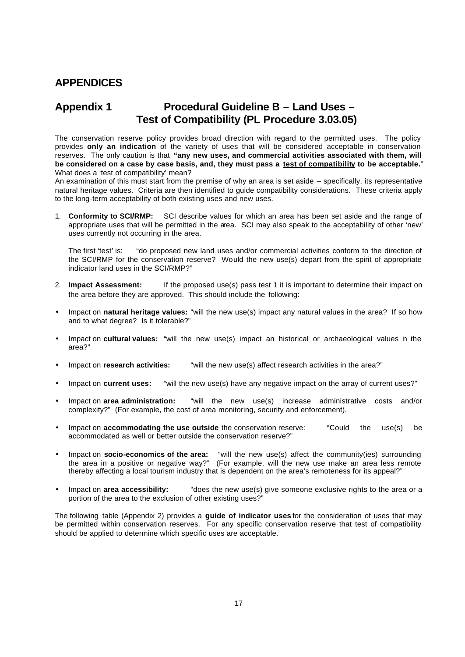## **APPENDICES**

## **Appendix 1 Procedural Guideline B – Land Uses – Test of Compatibility (PL Procedure 3.03.05)**

The conservation reserve policy provides broad direction with regard to the permitted uses. The policy provides **only an indication** of the variety of uses that will be considered acceptable in conservation reserves. The only caution is that **"any new uses, and commercial activities associated with them, will be considered on a case by case basis, and, they must pass a test of compatibility to be acceptable.**" What does a 'test of compatibility' mean?

An examination of this must start from the premise of why an area is set aside – specifically, its representative natural heritage values. Criteria are then identified to guide compatibility considerations. These criteria apply to the long-term acceptability of both existing uses and new uses.

1. **Conformity to SCI/RMP:** SCI describe values for which an area has been set aside and the range of appropriate uses that will be permitted in the area. SCI may also speak to the acceptability of other 'new' uses currently not occurring in the area.

The first 'test' is: "do proposed new land uses and/or commercial activities conform to the direction of the SCI/RMP for the conservation reserve? Would the new use(s) depart from the spirit of appropriate indicator land uses in the SCI/RMP?"

- 2. **Impact Assessment:** If the proposed use(s) pass test 1 it is important to determine their impact on the area before they are approved. This should include the following:
- Impact on **natural heritage values:** "will the new use(s) impact any natural values in the area? If so how and to what degree? Is it tolerable?"
- Impact on **cultural values:** "will the new use(s) impact an historical or archaeological values in the area?"
- Impact on **research activities:** "will the new use(s) affect research activities in the area?"
- Impact on **current uses:** "will the new use(s) have any negative impact on the array of current uses?"
- Impact on **area administration:** "will the new use(s) increase administrative costs and/or complexity?" (For example, the cost of area monitoring, security and enforcement).
- Impact on **accommodating the use outside** the conservation reserve: "Could the use(s) be accommodated as well or better outside the conservation reserve?"
- Impact on **socio-economics of the area:** "will the new use(s) affect the community(ies) surrounding the area in a positive or negative way?" (For example, will the new use make an area less remote thereby affecting a local tourism industry that is dependent on the area's remoteness for its appeal?"
- Impact on **area accessibility:** "does the new use(s) give someone exclusive rights to the area or a portion of the area to the exclusion of other existing uses?"

The following table (Appendix 2) provides a **guide of indicator uses** for the consideration of uses that may be permitted within conservation reserves. For any specific conservation reserve that test of compatibility should be applied to determine which specific uses are acceptable.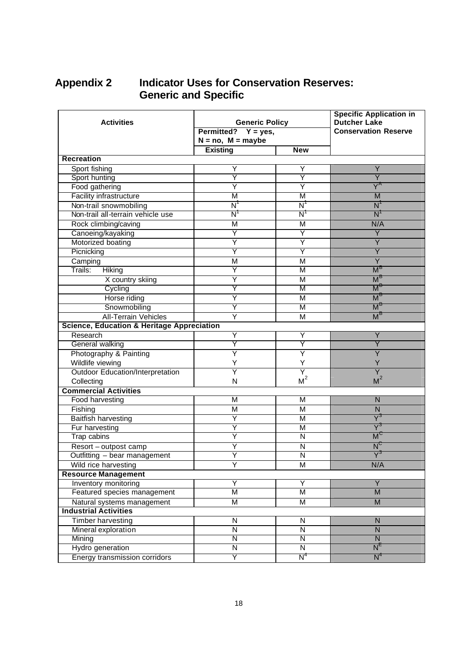## **Appendix 2 Indicator Uses for Conservation Reserves: Generic and Specific**

| <b>Activities</b>                                     | <b>Generic Policy</b><br>Permitted? $Y = yes$ ,<br>$N = no$ , $M = maybe$ |                                      | <b>Specific Application in</b><br><b>Dutcher Lake</b><br><b>Conservation Reserve</b> |  |  |
|-------------------------------------------------------|---------------------------------------------------------------------------|--------------------------------------|--------------------------------------------------------------------------------------|--|--|
|                                                       | <b>Existing</b>                                                           | <b>New</b>                           |                                                                                      |  |  |
| <b>Recreation</b>                                     |                                                                           |                                      |                                                                                      |  |  |
| Sport fishing                                         | Y                                                                         | Υ                                    | Y                                                                                    |  |  |
| Sport hunting                                         | Y                                                                         | Y                                    | Ÿ                                                                                    |  |  |
| Food gathering                                        | Ÿ                                                                         | Ÿ                                    | $\overline{\mathsf{Y}}^{\mathsf{A}}$                                                 |  |  |
| <b>Facility infrastructure</b>                        | M                                                                         | М                                    | M                                                                                    |  |  |
| Non-trail snowmobiling                                | $\overline{\mathsf{N}}$                                                   | $\overline{\mathsf{N}}$              | $\overline{\mathsf{N}}$                                                              |  |  |
| Non-trail all-terrain vehicle use                     | $\overline{\mathsf{N}}$                                                   | $\overline{\mathsf{N}^{\mathsf{T}}}$ | N'                                                                                   |  |  |
| Rock climbing/caving                                  | M                                                                         | M                                    | N/A                                                                                  |  |  |
| Canoeing/kayaking                                     | Y                                                                         | Y                                    | Y                                                                                    |  |  |
| Motorized boating                                     | Ÿ                                                                         | Ÿ                                    | $\overline{Y}$                                                                       |  |  |
| Picnicking                                            | Y                                                                         | Υ                                    | Y                                                                                    |  |  |
| Camping                                               | M                                                                         | M                                    | $\overline{Y}$                                                                       |  |  |
| Trails:<br><b>Hiking</b>                              | Y                                                                         | М                                    | $M^B$                                                                                |  |  |
| X country skiing                                      | Ÿ                                                                         | M                                    | $M^B$                                                                                |  |  |
| Cycling                                               | Y                                                                         | M                                    | $M^E$                                                                                |  |  |
| Horse riding                                          | Ÿ                                                                         | M                                    | $M^B$                                                                                |  |  |
| Snowmobiling                                          | Υ                                                                         | M                                    | $\overline{\mathsf{M}}^{\mathsf{t}}$                                                 |  |  |
| <b>All-Terrain Vehicles</b>                           | Y                                                                         | M                                    | $M^B$                                                                                |  |  |
| <b>Science, Education &amp; Heritage Appreciation</b> |                                                                           |                                      |                                                                                      |  |  |
| Research                                              | Y                                                                         | Υ                                    | Υ                                                                                    |  |  |
| General walking                                       | Y                                                                         | Y                                    | Υ                                                                                    |  |  |
| Photography & Painting                                | Ϋ                                                                         | Ÿ                                    | Ý                                                                                    |  |  |
| Wildlife viewing                                      | Y                                                                         | Y                                    | Y                                                                                    |  |  |
| <b>Outdoor Education/Interpretation</b>               | Ÿ                                                                         | Ÿ                                    | $\overline{Y}$                                                                       |  |  |
| Collecting                                            | N                                                                         | M <sup>2</sup>                       | M <sup>2</sup>                                                                       |  |  |
| <b>Commercial Activities</b>                          |                                                                           |                                      |                                                                                      |  |  |
| Food harvesting                                       | M                                                                         | M                                    | ${\sf N}$                                                                            |  |  |
| Fishing                                               | M                                                                         | M                                    | $\overline{N}$                                                                       |  |  |
| <b>Baitfish harvesting</b>                            | Ÿ                                                                         | M                                    | $\overline{\mathsf{Y}}^3$                                                            |  |  |
| Fur harvesting                                        | Y                                                                         | М                                    | $\overline{\mathsf{Y}}^3$                                                            |  |  |
| <b>Trap cabins</b>                                    | Ÿ                                                                         | $\overline{N}$                       | $M^{\circ}$                                                                          |  |  |
| Resort - outpost camp                                 | Y                                                                         | N                                    | N                                                                                    |  |  |
| Outfitting - bear management                          | Ÿ                                                                         | N                                    | $\overline{\mathsf{Y}}^3$                                                            |  |  |
| Wild rice harvesting                                  | Y                                                                         | M                                    | N/A                                                                                  |  |  |
| <b>Resource Management</b>                            |                                                                           |                                      |                                                                                      |  |  |
| <b>Inventory monitoring</b>                           | Ÿ                                                                         | Ÿ                                    | $\overline{Y}$                                                                       |  |  |
| Featured species management                           | M                                                                         | $\overline{\mathsf{M}}$              | $\overline{M}$                                                                       |  |  |
| Natural systems management                            | M                                                                         | М                                    | M                                                                                    |  |  |
| <b>Industrial Activities</b>                          |                                                                           |                                      |                                                                                      |  |  |
| <b>Timber harvesting</b>                              | $\overline{\mathsf{N}}$                                                   | $\overline{\mathsf{N}}$              | ${\sf N}$                                                                            |  |  |
| Mineral exploration                                   | $\overline{\mathsf{N}}$                                                   | $\overline{N}$                       | $\overline{N}$                                                                       |  |  |
| Mining                                                | $\overline{\mathsf{N}}$                                                   | $\overline{\mathsf{N}}$              | $\overline{N}$                                                                       |  |  |
| Hydro generation                                      | N                                                                         | $\overline{N}$                       | $\overline{\sf N}^{\texttt{E}}$                                                      |  |  |
| Energy transmission corridors                         | Υ                                                                         | $\overline{\mathsf{N}}^4$            | $N^4$                                                                                |  |  |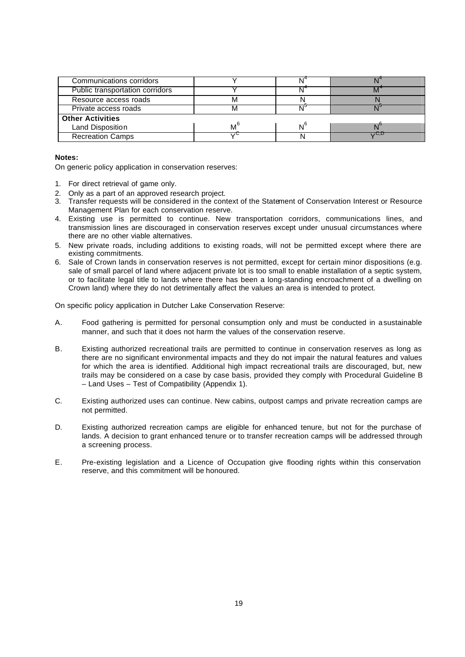| Communications corridors        |             |     |    |  |  |
|---------------------------------|-------------|-----|----|--|--|
| Public transportation corridors |             |     |    |  |  |
| Resource access roads           |             |     |    |  |  |
| Private access roads            |             | - 1 |    |  |  |
| <b>Other Activities</b>         |             |     |    |  |  |
| <b>Land Disposition</b>         | $M^{\circ}$ |     |    |  |  |
| <b>Recreation Camps</b>         | ں ر         |     | バリ |  |  |

#### **Notes:**

On generic policy application in conservation reserves:

- 1. For direct retrieval of game only.
- 2. Only as a part of an approved research project.
- 3. Transfer requests will be considered in the context of the Statement of Conservation Interest or Resource Management Plan for each conservation reserve.
- 4. Existing use is permitted to continue. New transportation corridors, communications lines, and transmission lines are discouraged in conservation reserves except under unusual circumstances where there are no other viable alternatives.
- 5. New private roads, including additions to existing roads, will not be permitted except where there are existing commitments.
- 6. Sale of Crown lands in conservation reserves is not permitted, except for certain minor dispositions (e.g. sale of small parcel of land where adjacent private lot is too small to enable installation of a septic system, or to facilitate legal title to lands where there has been a long-standing encroachment of a dwelling on Crown land) where they do not detrimentally affect the values an area is intended to protect.

On specific policy application in Dutcher Lake Conservation Reserve:

- A. Food gathering is permitted for personal consumption only and must be conducted in a sustainable manner, and such that it does not harm the values of the conservation reserve.
- B. Existing authorized recreational trails are permitted to continue in conservation reserves as long as there are no significant environmental impacts and they do not impair the natural features and values for which the area is identified. Additional high impact recreational trails are discouraged, but, new trails may be considered on a case by case basis, provided they comply with Procedural Guideline B – Land Uses – Test of Compatibility (Appendix 1).
- C. Existing authorized uses can continue. New cabins, outpost camps and private recreation camps are not permitted.
- D. Existing authorized recreation camps are eligible for enhanced tenure, but not for the purchase of lands. A decision to grant enhanced tenure or to transfer recreation camps will be addressed through a screening process.
- E. Pre-existing legislation and a Licence of Occupation give flooding rights within this conservation reserve, and this commitment will be honoured.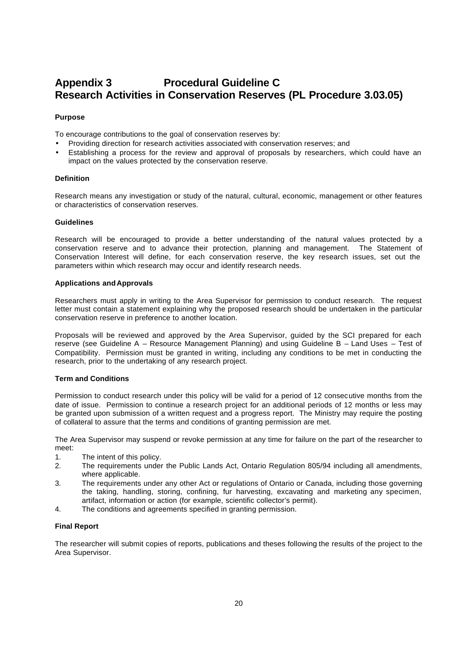## **Appendix 3 Procedural Guideline C Research Activities in Conservation Reserves (PL Procedure 3.03.05)**

#### **Purpose**

To encourage contributions to the goal of conservation reserves by:

- Providing direction for research activities associated with conservation reserves; and
- Establishing a process for the review and approval of proposals by researchers, which could have an impact on the values protected by the conservation reserve.

#### **Definition**

Research means any investigation or study of the natural, cultural, economic, management or other features or characteristics of conservation reserves.

#### **Guidelines**

Research will be encouraged to provide a better understanding of the natural values protected by a conservation reserve and to advance their protection, planning and management. The Statement of Conservation Interest will define, for each conservation reserve, the key research issues, set out the parameters within which research may occur and identify research needs.

#### **Applications and Approvals**

Researchers must apply in writing to the Area Supervisor for permission to conduct research. The request letter must contain a statement explaining why the proposed research should be undertaken in the particular conservation reserve in preference to another location.

Proposals will be reviewed and approved by the Area Supervisor, guided by the SCI prepared for each reserve (see Guideline A – Resource Management Planning) and using Guideline B – Land Uses – Test of Compatibility. Permission must be granted in writing, including any conditions to be met in conducting the research, prior to the undertaking of any research project.

#### **Term and Conditions**

Permission to conduct research under this policy will be valid for a period of 12 consecutive months from the date of issue. Permission to continue a research project for an additional periods of 12 months or less may be granted upon submission of a written request and a progress report. The Ministry may require the posting of collateral to assure that the terms and conditions of granting permission are met.

The Area Supervisor may suspend or revoke permission at any time for failure on the part of the researcher to meet:

- 1. The intent of this policy.
- 2. The requirements under the Public Lands Act, Ontario Regulation 805/94 including all amendments, where applicable.
- 3. The requirements under any other Act or regulations of Ontario or Canada, including those governing the taking, handling, storing, confining, fur harvesting, excavating and marketing any specimen, artifact, information or action (for example, scientific collector's permit).
- 4. The conditions and agreements specified in granting permission.

#### **Final Report**

The researcher will submit copies of reports, publications and theses following the results of the project to the Area Supervisor.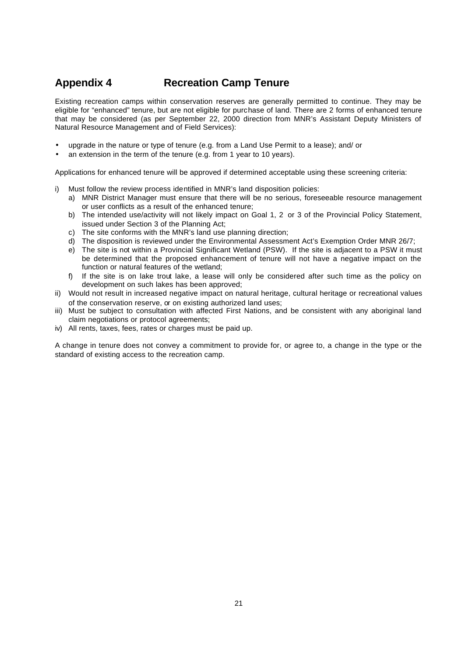## **Appendix 4 Recreation Camp Tenure**

Existing recreation camps within conservation reserves are generally permitted to continue. They may be eligible for "enhanced" tenure, but are not eligible for purchase of land. There are 2 forms of enhanced tenure that may be considered (as per September 22, 2000 direction from MNR's Assistant Deputy Ministers of Natural Resource Management and of Field Services):

- upgrade in the nature or type of tenure (e.g. from a Land Use Permit to a lease); and/ or
- an extension in the term of the tenure (e.g. from 1 year to 10 years).

Applications for enhanced tenure will be approved if determined acceptable using these screening criteria:

- i) Must follow the review process identified in MNR's land disposition policies:
	- a) MNR District Manager must ensure that there will be no serious, foreseeable resource management or user conflicts as a result of the enhanced tenure;
	- b) The intended use/activity will not likely impact on Goal 1, 2 or 3 of the Provincial Policy Statement, issued under Section 3 of the Planning Act;
	- c) The site conforms with the MNR's land use planning direction;
	- d) The disposition is reviewed under the Environmental Assessment Act's Exemption Order MNR 26/7;
	- e) The site is not within a Provincial Significant Wetland (PSW). If the site is adjacent to a PSW it must be determined that the proposed enhancement of tenure will not have a negative impact on the function or natural features of the wetland;
	- f) If the site is on lake trout lake, a lease will only be considered after such time as the policy on development on such lakes has been approved;
- ii) Would not result in increased negative impact on natural heritage, cultural heritage or recreational values of the conservation reserve, or on existing authorized land uses;
- iii) Must be subject to consultation with affected First Nations, and be consistent with any aboriginal land claim negotiations or protocol agreements;
- iv) All rents, taxes, fees, rates or charges must be paid up.

A change in tenure does not convey a commitment to provide for, or agree to, a change in the type or the standard of existing access to the recreation camp.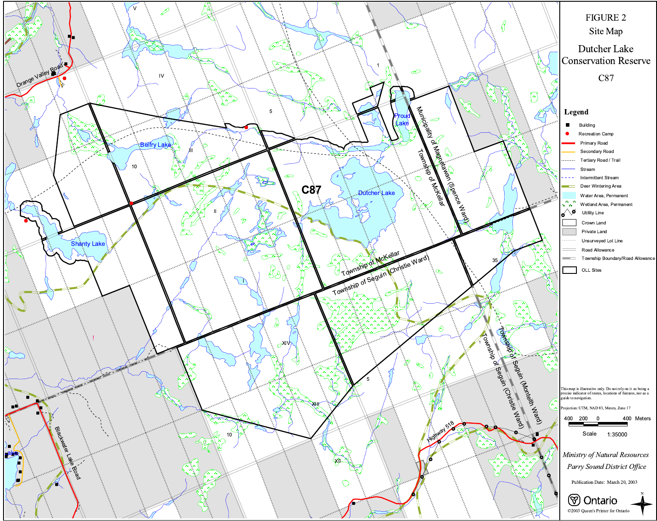